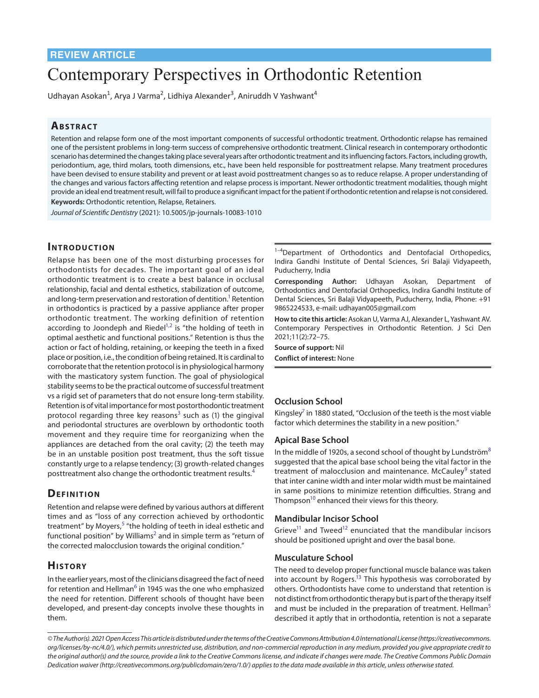# Contemporary Perspectives in Orthodontic Retention

Udhayan Asokan<sup>1</sup>, Arya J Varma<sup>2</sup>, Lidhiya Alexander<sup>3</sup>, Aniruddh V Yashwant<sup>4</sup>

## **ABSTRACT**

Retention and relapse form one of the most important components of successful orthodontic treatment. Orthodontic relapse has remained one of the persistent problems in long-term success of comprehensive orthodontic treatment. Clinical research in contemporary orthodontic scenario has determined the changes taking place several years after orthodontic treatment and its influencing factors. Factors, including growth, periodontium, age, third molars, tooth dimensions, etc., have been held responsible for posttreatment relapse. Many treatment procedures have been devised to ensure stability and prevent or at least avoid posttreatment changes so as to reduce relapse. A proper understanding of the changes and various factors affecting retention and relapse process is important. Newer orthodontic treatment modalities, though might provide an ideal end treatment result, will fail to produce a significant impact for the patient if orthodontic retention and relapse is not considered. **Keywords:** Orthodontic retention, Relapse, Retainers.

*Journal of Scientific Dentistry* (2021): 10.5005/jp-journals-10083-1010

## **INTRODUCTION**

Relapse has been one of the most disturbing processes for orthodontists for decades. The important goal of an ideal orthodontic treatment is to create a best balance in occlusal relationship, facial and dental esthetics, stabilization of outcome, and long-term preservation and restoration of dentition. $^1$  Retention in orthodontics is practiced by a passive appliance after proper orthodontic treatment. The working definition of retention according to Joondeph and Riedel<sup>1,[2](#page-2-1)</sup> is "the holding of teeth in optimal aesthetic and functional positions." Retention is thus the action or fact of holding, retaining, or keeping the teeth in a fixed place or position, i.e., the condition of being retained. It is cardinal to corroborate that the retention protocol is in physiological harmony with the masticatory system function. The goal of physiological stability seems to be the practical outcome of successful treatment vs a rigid set of parameters that do not ensure long-term stability. Retention is of vital importance for most postorthodontic treatment protocol regarding three key reasons<sup>[3](#page-2-2)</sup> such as (1) the gingival and periodontal structures are overblown by orthodontic tooth movement and they require time for reorganizing when the appliances are detached from the oral cavity; (2) the teeth may be in an unstable position post treatment, thus the soft tissue constantly urge to a relapse tendency; (3) growth-related changes posttreatment also change the orthodontic treatment results.<sup>[4](#page-2-3)</sup>

## **DEFINITION**

Retention and relapse were defined by various authors at different times and as "loss of any correction achieved by orthodontic treatment" by Moyers,<sup>[5](#page-2-4)</sup> "the holding of teeth in ideal esthetic and functional position" by Williams<sup>2</sup> and in simple term as "return of the corrected malocclusion towards the original condition."

# **His to ry**

In the earlier years, most of the clinicians disagreed the fact of need for retention and Hellman<sup>[6](#page-2-5)</sup> in 1945 was the one who emphasized the need for retention. Different schools of thought have been developed, and present-day concepts involve these thoughts in them.

 $1-4$ Department of Orthodontics and Dentofacial Orthopedics, Indira Gandhi Institute of Dental Sciences, Sri Balaji Vidyapeeth, Puducherry, India

**Corresponding Author:** Udhayan Asokan, Department of Orthodontics and Dentofacial Orthopedics, Indira Gandhi Institute of Dental Sciences, Sri Balaji Vidyapeeth, Puducherry, India, Phone: +91 9865224533, e-mail: udhayan005@gmail.com

**How to cite this article:** Asokan U, Varma AJ, Alexander L, Yashwant AV. Contemporary Perspectives in Orthodontic Retention. J Sci Den 2021;11(2):72–75.

**Source of support:** Nil **Conflict of interest:** None

#### **Occlusion School**

Kingsley<sup>7</sup> in 1880 stated, "Occlusion of the teeth is the most viable factor which determines the stability in a new position."

#### **Apical Base School**

In the middle of 1920s, a second school of thought by Lundström $8$ suggested that the apical base school being the vital factor in the treatment of malocclusion and maintenance. McCauley<sup>[9](#page-3-2)</sup> stated that inter canine width and inter molar width must be maintained in same positions to minimize retention difficulties. Strang and Thompson<sup>10</sup> enhanced their views for this theory.

#### **Mandibular Incisor School**

Grieve<sup>11</sup> and Tweed<sup>12</sup> enunciated that the mandibular incisors should be positioned upright and over the basal bone.

#### **Musculature School**

The need to develop proper functional muscle balance was taken into account by Rogers. $13$  This hypothesis was corroborated by others. Orthodontists have come to understand that retention is not distinct from orthodontic therapy but is part of the therapy itself and must be included in the preparation of treatment. Hellman<sup>[5](#page-2-4)</sup> described it aptly that in orthodontia, retention is not a separate

*<sup>©</sup> The Author(s). 2021 Open Access This article is distributed under the terms of the Creative Commons Attribution 4.0 International License ([https://creativecommons.](https://creativecommons. org/licenses/by-nc/4.0/)  [org/licenses/by-nc/4.0/](https://creativecommons. org/licenses/by-nc/4.0/)), which permits unrestricted use, distribution, and non-commercial reproduction in any medium, provided you give appropriate credit to the original author(s) and the source, provide a link to the Creative Commons license, and indicate if changes were made. The Creative Commons Public Domain Dedication waiver ([http://creativecommons.org/publicdomain/zero/1.0/\)](http://creativecommons.org/publicdomain/zero/1.0/) applies to the data made available in this article, unless otherwise stated.*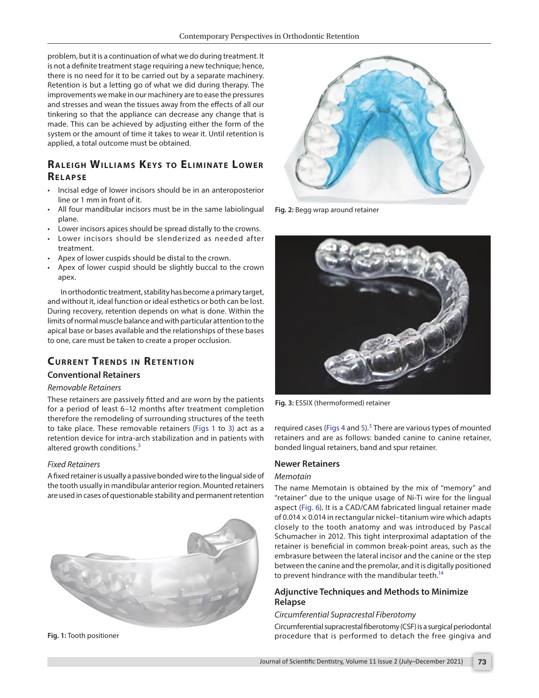problem, but it is a continuation of what we do during treatment. It is not a definite treatment stage requiring a new technique; hence, there is no need for it to be carried out by a separate machinery. Retention is but a letting go of what we did during therapy. The improvements we make in our machinery are to ease the pressures and stresses and wean the tissues away from the effects of all our tinkering so that the appliance can decrease any change that is made. This can be achieved by adjusting either the form of the system or the amount of time it takes to wear it. Until retention is applied, a total outcome must be obtained.

# **RALEIGH WILLIAMS KEYS TO ELIMINATE LOWER Re lap s e**

- Incisal edge of lower incisors should be in an anteroposterior line or 1 mm in front of it.
- All four mandibular incisors must be in the same labiolingual plane.
- Lower incisors apices should be spread distally to the crowns.
- Lower incisors should be slenderized as needed after treatment.
- Apex of lower cuspids should be distal to the crown.
- Apex of lower cuspid should be slightly buccal to the crown apex.

In orthodontic treatment, stability has become a primary target, and without it, ideal function or ideal esthetics or both can be lost. During recovery, retention depends on what is done. Within the limits of normal muscle balance and with particular attention to the apical base or bases available and the relationships of these bases to one, care must be taken to create a proper occlusion.

# **CURRENT TRENDS IN RETENTION**

#### **Conventional Retainers**

#### *Removable Retainers*

These retainers are passively fitted and are worn by the patients for a period of least 6–12 months after treatment completion therefore the remodeling of surrounding structures of the teeth to take place. These removable retainers ([Figs 1](#page-1-0) to [3\)](#page-1-1) act as a retention device for intra-arch stabilization and in patients with altered growth conditions.<sup>[3](#page-2-2)</sup>

#### *Fixed Retainers*

A fixed retainer is usually a passive bonded wire to the lingual side of the tooth usually in mandibular anterior region. Mounted retainers are used in cases of questionable stability and permanent retention



<span id="page-1-0"></span>**Fig. 1:** Tooth positioner



**Fig. 2:** Begg wrap around retainer



**Fig. 3:** ESSIX (thermoformed) retainer

<span id="page-1-1"></span>required cases ([Figs 4](#page-2-6) and [5\)](#page-2-7).<sup>[3](#page-2-2)</sup> There are various types of mounted retainers and are as follows: banded canine to canine retainer, bonded lingual retainers, band and spur retainer.

#### **Newer Retainers**

#### *Memotain*

The name Memotain is obtained by the mix of "memory" and "retainer" due to the unique usage of Ni-Ti wire for the lingual aspect [\(Fig. 6](#page-2-8)). It is a CAD/CAM fabricated lingual retainer made of 0.014  $\times$  0.014 in rectangular nickel-titanium wire which adapts closely to the tooth anatomy and was introduced by Pascal Schumacher in 2012. This tight interproximal adaptation of the retainer is beneficial in common break-point areas, such as the embrasure between the lateral incisor and the canine or the step between the canine and the premolar, and it is digitally positioned to prevent hindrance with the mandibular teeth.<sup>14</sup>

### **Adjunctive Techniques and Methods to Minimize Relapse**

#### *Circumferential Supracrestal Fiberotomy*

Circumferential supracrestal fiberotomy (CSF) is a surgical periodontal procedure that is performed to detach the free gingiva and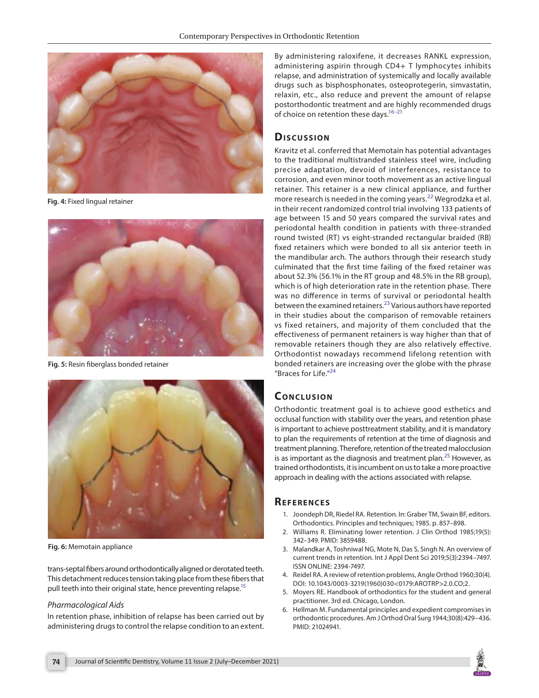

**Fig. 4:** Fixed lingual retainer

<span id="page-2-6"></span>

**Fig. 5:** Resin fiberglass bonded retainer

<span id="page-2-7"></span>

**Fig. 6:** Memotain appliance

<span id="page-2-8"></span>trans-septal fibers around orthodontically aligned or derotated teeth. This detachment reduces tension taking place from these fibers that pull teeth into their original state, hence preventing relapse.<sup>15</sup>

#### *Pharmacological Aids*

In retention phase, inhibition of relapse has been carried out by administering drugs to control the relapse condition to an extent. By administering raloxifene, it decreases RANKL expression, administering aspirin through CD4+ T lymphocytes inhibits relapse, and administration of systemically and locally available drugs such as bisphosphonates, osteoprotegerin, simvastatin, relaxin, etc., also reduce and prevent the amount of relapse postorthodontic treatment and are highly recommended drugs of choice on retention these days.<sup>16-21</sup>

# **Dis c u s sio n**

Kravitz et al. conferred that Memotain has potential advantages to the traditional multistranded stainless steel wire, including precise adaptation, devoid of interferences, resistance to corrosion, and even minor tooth movement as an active lingual retainer. This retainer is a new clinical appliance, and further more research is needed in the coming years.<sup>[22](#page-3-10)</sup> Wegrodzka et al. in their recent randomized control trial involving 133 patients of age between 15 and 50 years compared the survival rates and periodontal health condition in patients with three-stranded round twisted (RT) vs eight-stranded rectangular braided (RB) fixed retainers which were bonded to all six anterior teeth in the mandibular arch. The authors through their research study culminated that the first time failing of the fixed retainer was about 52.3% (56.1% in the RT group and 48.5% in the RB group), which is of high deterioration rate in the retention phase. There was no difference in terms of survival or periodontal health between the examined retainers.<sup>[23](#page-3-11)</sup> Various authors have reported in their studies about the comparison of removable retainers vs fixed retainers, and majority of them concluded that the effectiveness of permanent retainers is way higher than that of removable retainers though they are also relatively effective. Orthodontist nowadays recommend lifelong retention with bonded retainers are increasing over the globe with the phrase "Braces for Life."<sup>[24](#page-3-12)</sup>

## **CONCLUSION**

Orthodontic treatment goal is to achieve good esthetics and occlusal function with stability over the years, and retention phase is important to achieve posttreatment stability, and it is mandatory to plan the requirements of retention at the time of diagnosis and treatment planning. Therefore, retention of the treated malocclusion is as important as the diagnosis and treatment plan.<sup>[25](#page-3-13)</sup> However, as trained orthodontists, it is incumbent on us to take a more proactive approach in dealing with the actions associated with relapse.

## <span id="page-2-0"></span>**REFERENCES**

- 1. Joondeph DR, Riedel RA. Retention. In: Graber TM, Swain BF, editors. Orthodontics. Principles and techniques; 1985. p. 857–898.
- <span id="page-2-1"></span>2. Williams R. Eliminating lower retention. J Clin Orthod 1985;19(5): 342–349. PMID: 3859488.
- <span id="page-2-2"></span>3. Malandkar A, Toshniwal NG, Mote N, Das S, Singh N. An overview of current trends in retention. Int J Appl Dent Sci 2019;5(3):2394–7497. ISSN ONLINE: 2394-7497.
- <span id="page-2-3"></span>4. Reidel RA. A review of retention problems, Angle Orthod 1960;30(4). DOI: 10.1043/0003-3219(1960)030<0179:AROTRP>2.0.CO;2.
- <span id="page-2-4"></span>5. Moyers RE. Handbook of orthodontics for the student and general practitioner. 3rd ed. Chicago, London.
- <span id="page-2-5"></span>6. Hellman M. Fundamental principles and expedient compromises in orthodontic procedures. Am J Orthod Oral Surg 1944;30(8):429–436. PMID: 21024941.